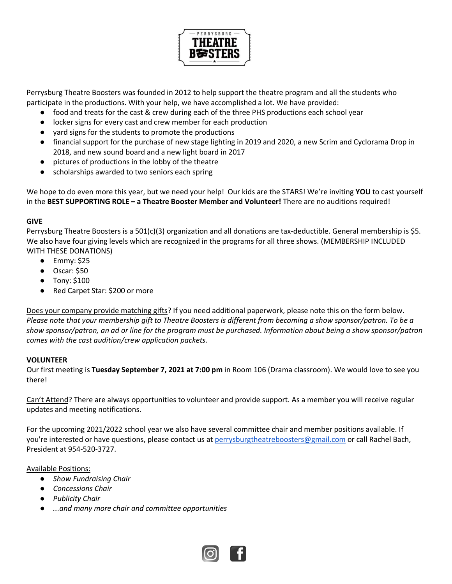

Perrysburg Theatre Boosters was founded in 2012 to help support the theatre program and all the students who participate in the productions. With your help, we have accomplished a lot. We have provided:

- food and treats for the cast & crew during each of the three PHS productions each school year
- locker signs for every cast and crew member for each production
- yard signs for the students to promote the productions
- financial support for the purchase of new stage lighting in 2019 and 2020, a new Scrim and Cyclorama Drop in 2018, and new sound board and a new light board in 2017
- pictures of productions in the lobby of the theatre
- scholarships awarded to two seniors each spring

We hope to do even more this year, but we need your help! Our kids are the STARS! We're inviting **YOU** to cast yourself in the **BEST SUPPORTING ROLE – a Theatre Booster Member and Volunteer!** There are no auditions required!

## **GIVE**

Perrysburg Theatre Boosters is a 501(c)(3) organization and all donations are tax-deductible. General membership is \$5. We also have four giving levels which are recognized in the programs for all three shows. (MEMBERSHIP INCLUDED WITH THESE DONATIONS)

- $\bullet$  Emmy: \$25
- Oscar: \$50
- Tony: \$100
- Red Carpet Star: \$200 or more

Does your company provide matching gifts? If you need additional paperwork, please note this on the form below. *Please note that your membership gift to Theatre Boosters is different from becoming a show sponsor/patron. To be a show sponsor/patron, an ad or line for the program must be purchased. Information about being a show sponsor/patron comes with the cast audition/crew application packets.* 

## **VOLUNTEER**

Our first meeting is **Tuesday September 7, 2021 at 7:00 pm** in Room 106 (Drama classroom). We would love to see you there!

Can't Attend? There are always opportunities to volunteer and provide support. As a member you will receive regular updates and meeting notifications.

For the upcoming 2021/2022 school year we also have several committee chair and member positions available. If you're interested or have questions, please contact us at perrysburgtheatreboosters@gmail.com or call Rachel Bach, President at 954-520-3727.

## Available Positions:

- *Show Fundraising Chair*
- *Concessions Chair*
- *Publicity Chair*
- *...and many more chair and committee opportunities*